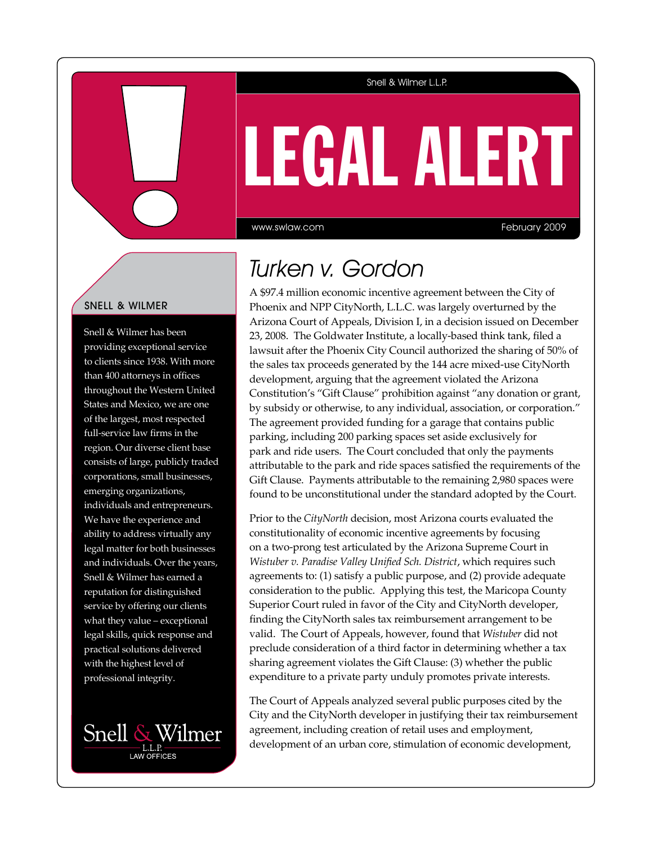### Snell & Wilmer L.L.P.

# LEGAL Alert

www.swlaw.com

February 2009

## Snell & Wilmer

Snell & Wilmer has been providing exceptional service to clients since 1938. With more than 400 attorneys in offices throughout the Western United States and Mexico, we are one of the largest, most respected full-service law firms in the region. Our diverse client base consists of large, publicly traded corporations, small businesses, emerging organizations, individuals and entrepreneurs. We have the experience and ability to address virtually any legal matter for both businesses and individuals. Over the years, Snell & Wilmer has earned a reputation for distinguished service by offering our clients what they value – exceptional legal skills, quick response and practical solutions delivered with the highest level of professional integrity.



# Turken v. Gordon

A \$97.4 million economic incentive agreement between the City of Phoenix and NPP CityNorth, L.L.C. was largely overturned by the Arizona Court of Appeals, Division I, in a decision issued on December 23, 2008. The Goldwater Institute, a locally-based think tank, filed a lawsuit after the Phoenix City Council authorized the sharing of 50% of the sales tax proceeds generated by the 144 acre mixed-use CityNorth development, arguing that the agreement violated the Arizona Constitution's "Gift Clause" prohibition against "any donation or grant, by subsidy or otherwise, to any individual, association, or corporation." The agreement provided funding for a garage that contains public parking, including 200 parking spaces set aside exclusively for park and ride users. The Court concluded that only the payments attributable to the park and ride spaces satisfied the requirements of the Gift Clause. Payments attributable to the remaining 2,980 spaces were found to be unconstitutional under the standard adopted by the Court.

Prior to the *CityNorth* decision, most Arizona courts evaluated the constitutionality of economic incentive agreements by focusing on a two-prong test articulated by the Arizona Supreme Court in *Wistuber v. Paradise Valley Unified Sch. District*, which requires such agreements to: (1) satisfy a public purpose, and (2) provide adequate consideration to the public. Applying this test, the Maricopa County Superior Court ruled in favor of the City and CityNorth developer, finding the CityNorth sales tax reimbursement arrangement to be valid. The Court of Appeals, however, found that *Wistuber* did not preclude consideration of a third factor in determining whether a tax sharing agreement violates the Gift Clause: (3) whether the public expenditure to a private party unduly promotes private interests.

The Court of Appeals analyzed several public purposes cited by the City and the CityNorth developer in justifying their tax reimbursement agreement, including creation of retail uses and employment, development of an urban core, stimulation of economic development,